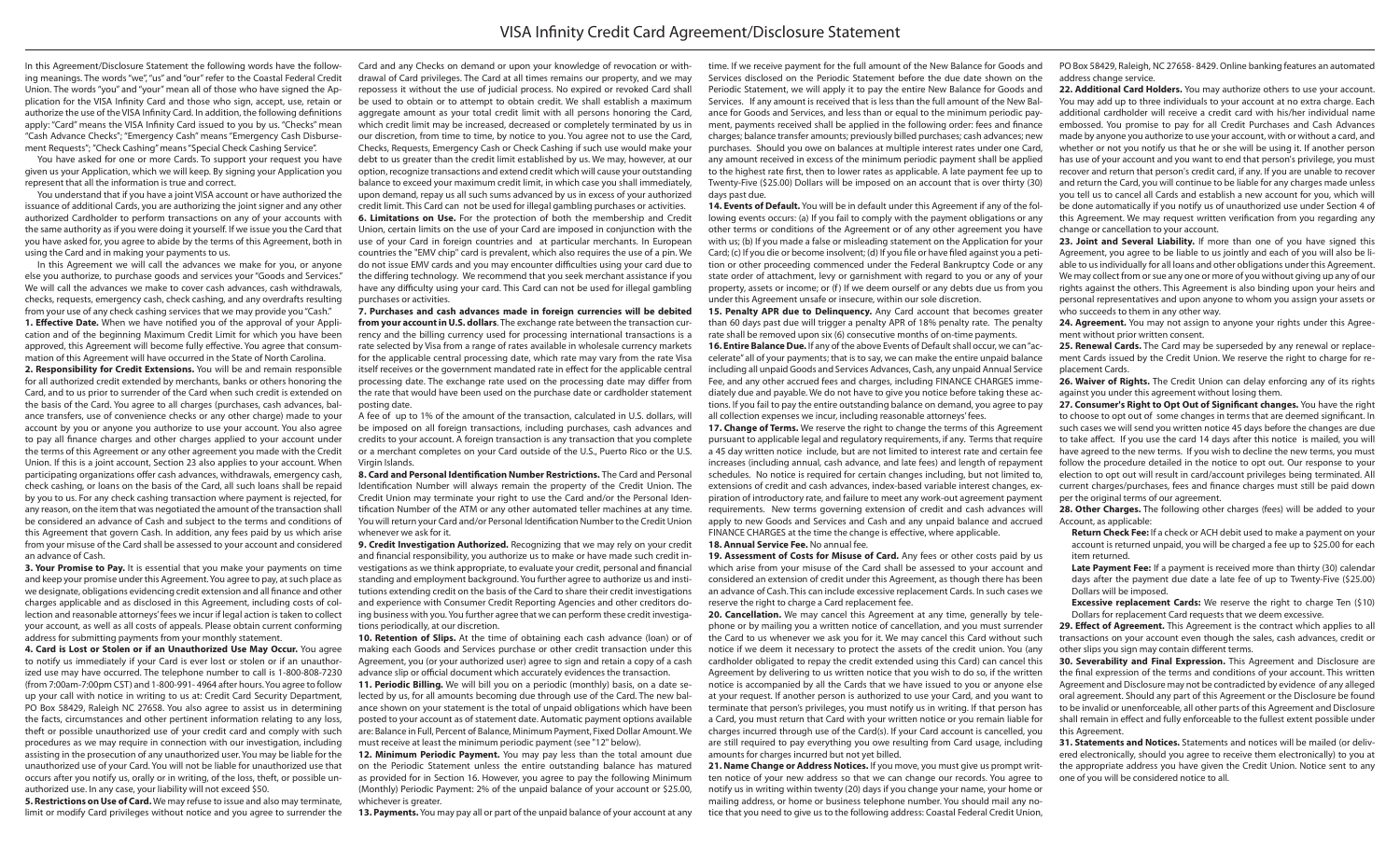In this Agreement/Disclosure Statement the following words have the following meanings. The words "we", "us" and "our" refer to the Coastal Federal Credit Union. The words "you" and "your" mean all of those who have signed the Application for the VISA Infinity Card and those who sign, accept, use, retain or authorize the use of the VISA Infinity Card. In addition, the following definitions apply: "Card" means the VISA Infinity Card issued to you by us. "Checks" mean "Cash Advance Checks"; "Emergency Cash" means "Emergency Cash Disbursement Requests"; "Check Cashing" means "Special Check Cashing Service".

You have asked for one or more Cards. To support your request you have given us your Application, which we will keep. By signing your Application you represent that all the information is true and correct.

You understand that if you have a joint VISA account or have authorized the issuance of additional Cards, you are authorizing the joint signer and any other authorized Cardholder to perform transactions on any of your accounts with the same authority as if you were doing it yourself. If we issue you the Card that you have asked for, you agree to abide by the terms of this Agreement, both in using the Card and in making your payments to us.

In this Agreement we will call the advances we make for you, or anyone else you authorize, to purchase goods and services your "Goods and Services." We will call the advances we make to cover cash advances, cash withdrawals, checks, requests, emergency cash, check cashing, and any overdrafts resulting from your use of any check cashing services that we may provide you "Cash."

**1. Effective Date.** When we have notified you of the approval of your Application and of the beginning Maximum Credit Limit for which you have been approved, this Agreement will become fully effective. You agree that consummation of this Agreement will have occurred in the State of North Carolina.

**2. Responsibility for Credit Extensions.** You will be and remain responsible for all authorized credit extended by merchants, banks or others honoring the Card, and to us prior to surrender of the Card when such credit is extended on the basis of the Card. You agree to all charges (purchases, cash advances, balance transfers, use of convenience checks or any other charge) made to your account by you or anyone you authorize to use your account. You also agree to pay all finance charges and other charges applied to your account under the terms of this Agreement or any other agreement you made with the Credit Union. If this is a joint account, Section 23 also applies to your account. When participating organizations offer cash advances, withdrawals, emergency cash, check cashing, or loans on the basis of the Card, all such loans shall be repaid by you to us. For any check cashing transaction where payment is rejected, for any reason, on the item that was negotiated the amount of the transaction shall be considered an advance of Cash and subject to the terms and conditions of this Agreement that govern Cash. In addition, any fees paid by us which arise from your misuse of the Card shall be assessed to your account and considered an advance of Cash.

**3. Your Promise to Pay.** It is essential that you make your payments on time and keep your promise under this Agreement. You agree to pay, at such place as we designate, obligations evidencing credit extension and all finance and other charges applicable and as disclosed in this Agreement, including costs of collection and reasonable attorneys' fees we incur if legal action is taken to collect your account, as well as all costs of appeals. Please obtain current conforming address for submitting payments from your monthly statement.

**4. Card is Lost or Stolen or if an Unauthorized Use May Occur.** You agree to notify us immediately if your Card is ever lost or stolen or if an unauthorized use may have occurred. The telephone number to call is 1-800-808-7230 (from 7:00am-7:00pm CST) and 1-800-991- 4964 after hours. You agree to follow up your call with notice in writing to us at: Credit Card Security Department, PO Box 58429, Raleigh NC 27658. You also agree to assist us in determining the facts, circumstances and other pertinent information relating to any loss, theft or possible unauthorized use of your credit card and comply with such procedures as we may require in connection with our investigation, including assisting in the prosecution of any unauthorized user. You may be liable for the unauthorized use of your Card. You will not be liable for unauthorized use that occurs after you notify us, orally or in writing, of the loss, theft, or possible unauthorized use. In any case, your liability will not exceed \$50.

**5. Restrictions on Use of Card.** We may refuse to issue and also may terminate, limit or modify Card privileges without notice and you agree to surrender the

Card and any Checks on demand or upon your knowledge of revocation or withdrawal of Card privileges. The Card at all times remains our property, and we may repossess it without the use of judicial process. No expired or revoked Card shall be used to obtain or to attempt to obtain credit. We shall establish a maximum aggregate amount as your total credit limit with all persons honoring the Card, which credit limit may be increased, decreased or completely terminated by us in our discretion, from time to time, by notice to you. You agree not to use the Card, Checks, Requests, Emergency Cash or Check Cashing if such use would make your debt to us greater than the credit limit established by us. We may, however, at our option, recognize transactions and extend credit which will cause your outstanding balance to exceed your maximum credit limit, in which case you shall immediately, upon demand, repay us all such sums advanced by us in excess of your authorized credit limit. This Card can not be used for illegal gambling purchases or activities. **6. Limitations on Use.** For the protection of both the membership and Credit Union, certain limits on the use of your Card are imposed in conjunction with the use of your Card in foreign countries and at particular merchants. In European countries the "EMV chip" card is prevalent, which also requires the use of a pin. We do not issue EMV cards and you may encounter difficulties using your card due to the differing technology. We recommend that you seek merchant assistance if you have any difficulty using your card. This Card can not be used for illegal gambling purchases or activities.

**7. Purchases and cash advances made in foreign currencies will be debited from your account in U.S. dollars**. The exchange rate between the transaction currency and the billing currency used for processing international transactions is a rate selected by Visa from a range of rates available in wholesale currency markets for the applicable central processing date, which rate may vary from the rate Visa itself receives or the government mandated rate in effect for the applicable central processing date. The exchange rate used on the processing date may differ from the rate that would have been used on the purchase date or cardholder statement posting date.

A fee of up to 1% of the amount of the transaction, calculated in U.S. dollars, will be imposed on all foreign transactions, including purchases, cash advances and credits to your account. A foreign transaction is any transaction that you complete or a merchant completes on your Card outside of the U.S., Puerto Rico or the U.S. Virgin Islands.

**8. Card and Personal Identification Number Restrictions.** The Card and Personal Identification Number will always remain the property of the Credit Union. The Credit Union may terminate your right to use the Card and/or the Personal Identification Number of the ATM or any other automated teller machines at any time. You will return your Card and/or Personal Identification Number to the Credit Union whenever we ask for it.

**9. Credit Investigation Authorized.** Recognizing that we may rely on your credit and financial responsibility, you authorize us to make or have made such credit investigations as we think appropriate, to evaluate your credit, personal and financial standing and employment background. You further agree to authorize us and institutions extending credit on the basis of the Card to share their credit investigations and experience with Consumer Credit Reporting Agencies and other creditors doing business with you. You further agree that we can perform these credit investigations periodically, at our discretion.

**10. Retention of Slips.** At the time of obtaining each cash advance (loan) or of making each Goods and Services purchase or other credit transaction under this Agreement, you (or your authorized user) agree to sign and retain a copy of a cash advance slip or official document which accurately evidences the transaction.

**11. Periodic Billing.** We will bill you on a periodic (monthly) basis, on a date selected by us, for all amounts becoming due through use of the Card. The new balance shown on your statement is the total of unpaid obligations which have been posted to your account as of statement date. Automatic payment options available are: Balance in Full, Percent of Balance, Minimum Payment, Fixed Dollar Amount. We must receive at least the minimum periodic payment (see "12" below).

**12. Minimum Periodic Payment.** You may pay less than the total amount due on the Periodic Statement unless the entire outstanding balance has matured as provided for in Section 16. However, you agree to pay the following Minimum (Monthly) Periodic Payment: 2% of the unpaid balance of your account or \$25.00, whichever is greater.

**13. Payments.** You may pay all or part of the unpaid balance of your account at any

time. If we receive payment for the full amount of the New Balance for Goods and Services disclosed on the Periodic Statement before the due date shown on the Periodic Statement, we will apply it to pay the entire New Balance for Goods and Services. If any amount is received that is less than the full amount of the New Balance for Goods and Services, and less than or equal to the minimum periodic payment, payments received shall be applied in the following order: fees and finance charges; balance transfer amounts; previously billed purchases; cash advances; new purchases. Should you owe on balances at multiple interest rates under one Card, any amount received in excess of the minimum periodic payment shall be applied to the highest rate first, then to lower rates as applicable. A late payment fee up to Twenty-Five (\$25.00) Dollars will be imposed on an account that is over thirty (30) days past due.

**14. Events of Default.** You will be in default under this Agreement if any of the following events occurs: (a) If you fail to comply with the payment obligations or any other terms or conditions of the Agreement or of any other agreement you have with us; (b) If you made a false or misleading statement on the Application for your Card; (c) If you die or become insolvent; (d) If you file or have filed against you a petition or other proceeding commenced under the Federal Bankruptcy Code or any state order of attachment, levy or garnishment with regard to you or any of your property, assets or income; or (f) If we deem ourself or any debts due us from you under this Agreement unsafe or insecure, within our sole discretion.

**15. Penalty APR due to Delinquency.** Any Card account that becomes greater than 60 days past due will trigger a penalty APR of 18% penalty rate. The penalty rate shall be removed upon six (6) consecutive months of on-time payments.

**16. Entire Balance Due.** If any of the above Events of Default shall occur, we can "accelerate" all of your payments; that is to say, we can make the entire unpaid balance including all unpaid Goods and Services Advances, Cash, any unpaid Annual Service Fee, and any other accrued fees and charges, including FINANCE CHARGES immediately due and payable. We do not have to give you notice before taking these actions. If you fail to pay the entire outstanding balance on demand, you agree to pay all collection expenses we incur, including reasonable attorneys' fees.

**17. Change of Terms.** We reserve the right to change the terms of this Agreement pursuant to applicable legal and regulatory requirements, if any. Terms that require a 45 day written notice include, but are not limited to interest rate and certain fee increases (including annual, cash advance, and late fees) and length of repayment schedules. No notice is required for certain changes including, but not limited to, extensions of credit and cash advances, index-based variable interest changes, expiration of introductory rate, and failure to meet any work-out agreement payment requirements. New terms governing extension of credit and cash advances will apply to new Goods and Services and Cash and any unpaid balance and accrued FINANCE CHARGES at the time the change is effective, where applicable. **18. Annual Service Fee.** No annual fee.

**19. Assessment of Costs for Misuse of Card.** Any fees or other costs paid by us which arise from your misuse of the Card shall be assessed to your account and considered an extension of credit under this Agreement, as though there has been an advance of Cash. This can include excessive replacement Cards. In such cases we reserve the right to charge a Card replacement fee.

**20. Cancellation.** We may cancel this Agreement at any time, generally by telephone or by mailing you a written notice of cancellation, and you must surrender the Card to us whenever we ask you for it. We may cancel this Card without such notice if we deem it necessary to protect the assets of the credit union. You (any cardholder obligated to repay the credit extended using this Card) can cancel this Agreement by delivering to us written notice that you wish to do so, if the written notice is accompanied by all the Cards that we have issued to you or anyone else at your request. If another person is authorized to use your Card, and you want to terminate that person's privileges, you must notify us in writing. If that person has a Card, you must return that Card with your written notice or you remain liable for charges incurred through use of the Card(s). If your Card account is cancelled, you are still required to pay everything you owe resulting from Card usage, including amounts for charges incurred but not yet billed.

**21. Name Change or Address Notices.** If you move, you must give us prompt written notice of your new address so that we can change our records. You agree to notify us in writing within twenty (20) days if you change your name, your home or mailing address, or home or business telephone number. You should mail any notice that you need to give us to the following address: Coastal Federal Credit Union,

PO Box 58429, Raleigh, NC 27658- 8429. Online banking features an automated address change service.

**22. Additional Card Holders.** You may authorize others to use your account. You may add up to three individuals to your account at no extra charge. Each additional cardholder will receive a credit card with his/her individual name embossed. You promise to pay for all Credit Purchases and Cash Advances made by anyone you authorize to use your account, with or without a card, and whether or not you notify us that he or she will be using it. If another person has use of your account and you want to end that person's privilege, you must recover and return that person's credit card, if any. If you are unable to recover and return the Card, you will continue to be liable for any charges made unless you tell us to cancel all Cards and establish a new account for you, which will be done automatically if you notify us of unauthorized use under Section 4 of this Agreement. We may request written verification from you regarding any change or cancellation to your account.

23. Joint and Several Liability. If more than one of you have signed this Agreement, you agree to be liable to us jointly and each of you will also be liable to us individually for all loans and other obligations under this Agreement. We may collect from or sue any one or more of you without giving up any of our rights against the others. This Agreement is also binding upon your heirs and personal representatives and upon anyone to whom you assign your assets or who succeeds to them in any other way.

**24. Agreement.** You may not assign to anyone your rights under this Agreement without prior written consent.

**25. Renewal Cards.** The Card may be superseded by any renewal or replacement Cards issued by the Credit Union. We reserve the right to charge for replacement Cards.

**26. Waiver of Rights.** The Credit Union can delay enforcing any of its rights against you under this agreement without losing them.

**27. Consumer's Right to Opt Out of Significant changes.** You have the right to choose to opt out of some changes in terms that are deemed significant. In such cases we will send you written notice 45 days before the changes are due to take affect. If you use the card 14 days after this notice is mailed, you will have agreed to the new terms. If you wish to decline the new terms, you must follow the procedure detailed in the notice to opt out. Our response to your election to opt out will result in card/account privileges being terminated. All current charges/purchases, fees and finance charges must still be paid down per the original terms of our agreement.

**28. Other Charges.** The following other charges (fees) will be added to your Account, as applicable:

**Return Check Fee:** If a check or ACH debit used to make a payment on your account is returned unpaid, you will be charged a fee up to \$25.00 for each item returned.

**Late Payment Fee:** If a payment is received more than thirty (30) calendar days after the payment due date a late fee of up to Twenty-Five (\$25.00) Dollars will be imposed.

**Excessive replacement Cards:** We reserve the right to charge Ten (\$10) Dollars for replacement Card requests that we deem excessive.

**29. Effect of Agreement.** This Agreement is the contract which applies to all transactions on your account even though the sales, cash advances, credit or other slips you sign may contain different terms.

**30. Severability and Final Expression.** This Agreement and Disclosure are the final expression of the terms and conditions of your account. This written Agreement and Disclosure may not be contradicted by evidence of any alleged oral agreement. Should any part of this Agreement or the Disclosure be found to be invalid or unenforceable, all other parts of this Agreement and Disclosure shall remain in effect and fully enforceable to the fullest extent possible under this Agreement.

**31. Statements and Notices.** Statements and notices will be mailed (or delivered electronically, should you agree to receive them electronically) to you at the appropriate address you have given the Credit Union. Notice sent to any one of you will be considered notice to all.